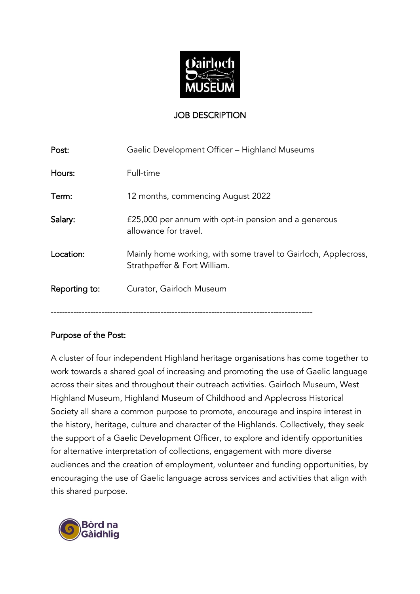

### JOB DESCRIPTION

| Post:         | Gaelic Development Officer - Highland Museums                                                  |
|---------------|------------------------------------------------------------------------------------------------|
| Hours:        | Full-time                                                                                      |
| Term:         | 12 months, commencing August 2022                                                              |
| Salary:       | £25,000 per annum with opt-in pension and a generous<br>allowance for travel.                  |
| Location:     | Mainly home working, with some travel to Gairloch, Applecross,<br>Strathpeffer & Fort William. |
| Reporting to: | Curator, Gairloch Museum                                                                       |
|               |                                                                                                |

#### Purpose of the Post:

A cluster of four independent Highland heritage organisations has come together to work towards a shared goal of increasing and promoting the use of Gaelic language across their sites and throughout their outreach activities. Gairloch Museum, West Highland Museum, Highland Museum of Childhood and Applecross Historical Society all share a common purpose to promote, encourage and inspire interest in the history, heritage, culture and character of the Highlands. Collectively, they seek the support of a Gaelic Development Officer, to explore and identify opportunities for alternative interpretation of collections, engagement with more diverse audiences and the creation of employment, volunteer and funding opportunities, by encouraging the use of Gaelic language across services and activities that align with this shared purpose.

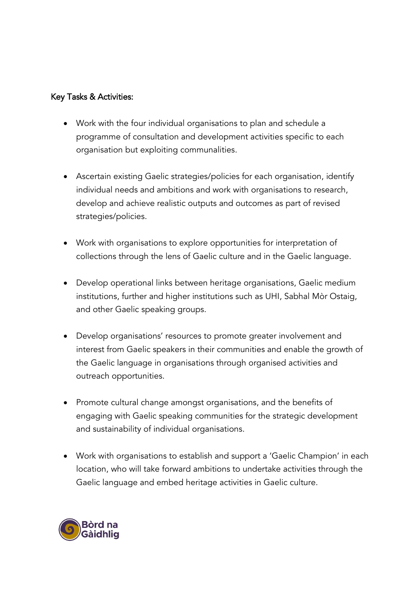#### Key Tasks & Activities:

- Work with the four individual organisations to plan and schedule a programme of consultation and development activities specific to each organisation but exploiting communalities.
- Ascertain existing Gaelic strategies/policies for each organisation, identify individual needs and ambitions and work with organisations to research, develop and achieve realistic outputs and outcomes as part of revised strategies/policies.
- Work with organisations to explore opportunities for interpretation of collections through the lens of Gaelic culture and in the Gaelic language.
- Develop operational links between heritage organisations, Gaelic medium institutions, further and higher institutions such as UHI, Sabhal Mòr Ostaig, and other Gaelic speaking groups.
- Develop organisations' resources to promote greater involvement and interest from Gaelic speakers in their communities and enable the growth of the Gaelic language in organisations through organised activities and outreach opportunities.
- Promote cultural change amongst organisations, and the benefits of engaging with Gaelic speaking communities for the strategic development and sustainability of individual organisations.
- Work with organisations to establish and support a 'Gaelic Champion' in each location, who will take forward ambitions to undertake activities through the Gaelic language and embed heritage activities in Gaelic culture.

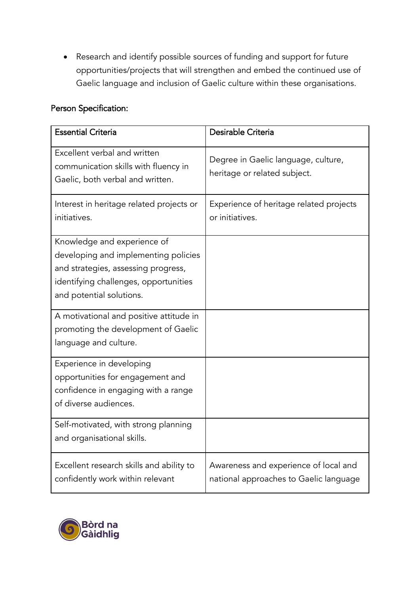Research and identify possible sources of funding and support for future opportunities/projects that will strengthen and embed the continued use of Gaelic language and inclusion of Gaelic culture within these organisations.

# Person Specification:

| <b>Essential Criteria</b>                                                                                                                                                       | Desirable Criteria                                                              |
|---------------------------------------------------------------------------------------------------------------------------------------------------------------------------------|---------------------------------------------------------------------------------|
| Excellent verbal and written<br>communication skills with fluency in<br>Gaelic, both verbal and written.                                                                        | Degree in Gaelic language, culture,<br>heritage or related subject.             |
| Interest in heritage related projects or<br>initiatives.                                                                                                                        | Experience of heritage related projects<br>or initiatives.                      |
| Knowledge and experience of<br>developing and implementing policies<br>and strategies, assessing progress,<br>identifying challenges, opportunities<br>and potential solutions. |                                                                                 |
| A motivational and positive attitude in<br>promoting the development of Gaelic<br>language and culture.                                                                         |                                                                                 |
| Experience in developing<br>opportunities for engagement and<br>confidence in engaging with a range<br>of diverse audiences.                                                    |                                                                                 |
| Self-motivated, with strong planning<br>and organisational skills.                                                                                                              |                                                                                 |
| Excellent research skills and ability to<br>confidently work within relevant                                                                                                    | Awareness and experience of local and<br>national approaches to Gaelic language |